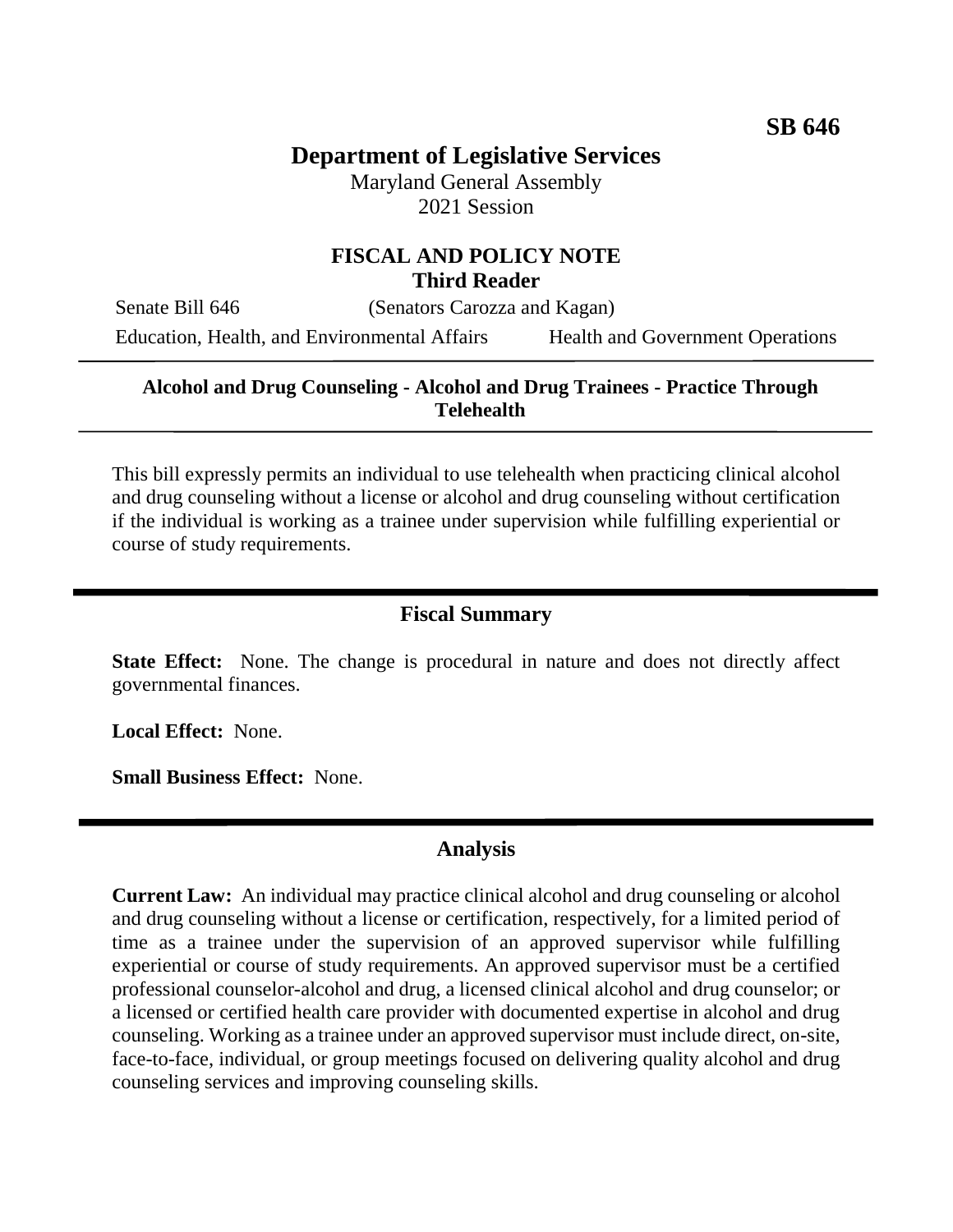# **Department of Legislative Services**

Maryland General Assembly 2021 Session

### **FISCAL AND POLICY NOTE Third Reader**

Senate Bill 646 (Senators Carozza and Kagan)

Education, Health, and Environmental Affairs Health and Government Operations

#### **Alcohol and Drug Counseling - Alcohol and Drug Trainees - Practice Through Telehealth**

This bill expressly permits an individual to use telehealth when practicing clinical alcohol and drug counseling without a license or alcohol and drug counseling without certification if the individual is working as a trainee under supervision while fulfilling experiential or course of study requirements.

#### **Fiscal Summary**

**State Effect:** None. The change is procedural in nature and does not directly affect governmental finances.

**Local Effect:** None.

**Small Business Effect:** None.

### **Analysis**

**Current Law:** An individual may practice clinical alcohol and drug counseling or alcohol and drug counseling without a license or certification, respectively, for a limited period of time as a trainee under the supervision of an approved supervisor while fulfilling experiential or course of study requirements. An approved supervisor must be a certified professional counselor-alcohol and drug, a licensed clinical alcohol and drug counselor; or a licensed or certified health care provider with documented expertise in alcohol and drug counseling. Working as a trainee under an approved supervisor must include direct, on-site, face-to-face, individual, or group meetings focused on delivering quality alcohol and drug counseling services and improving counseling skills.